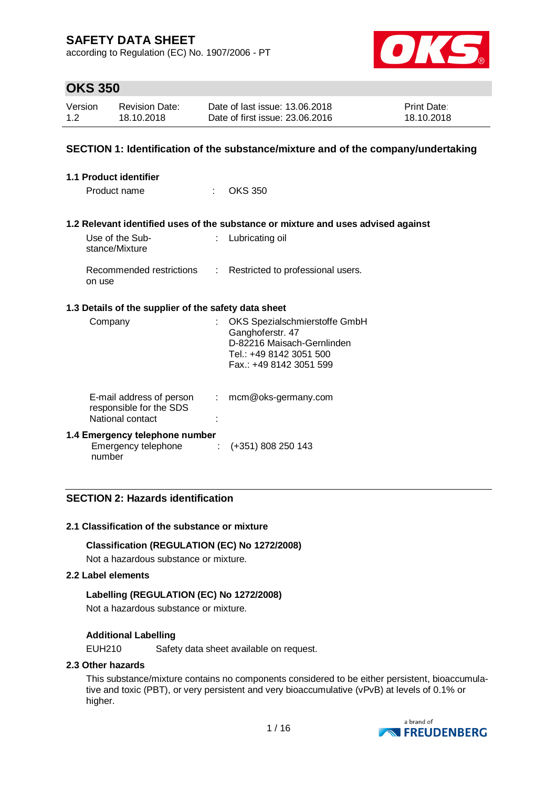according to Regulation (EC) No. 1907/2006 - PT



# **OKS 350**

| Version | <b>Revision Date:</b> | Date of last issue: 13.06.2018  | <b>Print Date:</b> |
|---------|-----------------------|---------------------------------|--------------------|
| 1.2     | 18.10.2018            | Date of first issue: 23,06,2016 | 18.10.2018         |

## **SECTION 1: Identification of the substance/mixture and of the company/undertaking**

| <b>1.1 Product identifier</b>                                           |                |                                                                                                                                       |
|-------------------------------------------------------------------------|----------------|---------------------------------------------------------------------------------------------------------------------------------------|
| Product name                                                            |                | <b>OKS 350</b>                                                                                                                        |
|                                                                         |                |                                                                                                                                       |
|                                                                         |                | 1.2 Relevant identified uses of the substance or mixture and uses advised against                                                     |
| Use of the Sub-<br>stance/Mixture                                       |                | Lubricating oil                                                                                                                       |
| Recommended restrictions<br>on use                                      | $\mathbb{R}^n$ | Restricted to professional users.                                                                                                     |
| 1.3 Details of the supplier of the safety data sheet                    |                |                                                                                                                                       |
| Company                                                                 | t.             | OKS Spezialschmierstoffe GmbH<br>Ganghoferstr. 47<br>D-82216 Maisach-Gernlinden<br>Tel.: +49 8142 3051 500<br>Fax.: +49 8142 3051 599 |
| E-mail address of person<br>responsible for the SDS<br>National contact | ÷.             | mcm@oks-germany.com                                                                                                                   |
| 1.4 Emergency telephone number<br>Emergency telephone<br>number         | ÷              | $(+351)$ 808 250 143                                                                                                                  |

# **SECTION 2: Hazards identification**

#### **2.1 Classification of the substance or mixture**

### **Classification (REGULATION (EC) No 1272/2008)**

Not a hazardous substance or mixture.

#### **2.2 Label elements**

### **Labelling (REGULATION (EC) No 1272/2008)**

Not a hazardous substance or mixture.

### **Additional Labelling**

EUH210 Safety data sheet available on request.

#### **2.3 Other hazards**

This substance/mixture contains no components considered to be either persistent, bioaccumulative and toxic (PBT), or very persistent and very bioaccumulative (vPvB) at levels of 0.1% or higher.

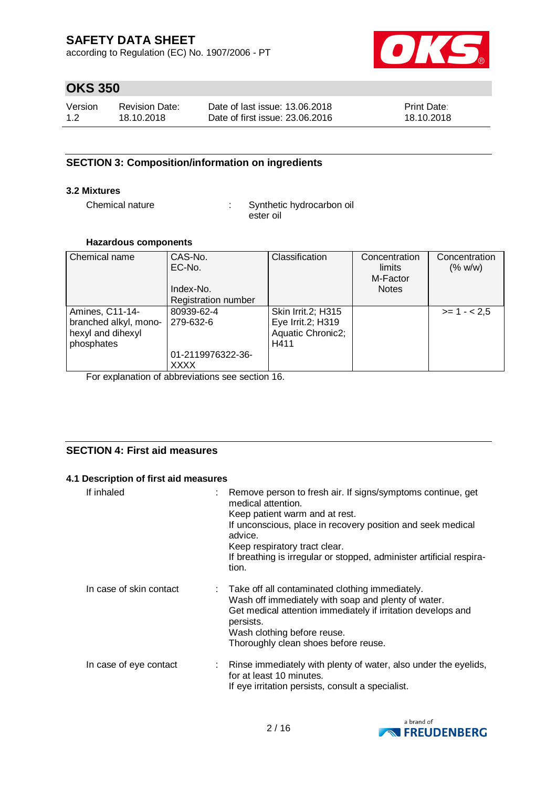according to Regulation (EC) No. 1907/2006 - PT



# **OKS 350**

| Version | <b>Revision Date:</b> | Date of last issue: 13.06.2018  | <b>Print Date:</b> |
|---------|-----------------------|---------------------------------|--------------------|
| 1.2     | 18.10.2018            | Date of first issue: 23,06,2016 | 18.10.2018         |

# **SECTION 3: Composition/information on ingredients**

# **3.2 Mixtures**

Chemical nature : Synthetic hydrocarbon oil ester oil

### **Hazardous components**

| Chemical name         | CAS-No.<br>EC-No.          | Classification     | Concentration<br>limits<br>M-Factor | Concentration<br>(% w/w) |
|-----------------------|----------------------------|--------------------|-------------------------------------|--------------------------|
|                       | Index-No.                  |                    | <b>Notes</b>                        |                          |
|                       | <b>Registration number</b> |                    |                                     |                          |
| Amines, C11-14-       | 80939-62-4                 | Skin Irrit.2; H315 |                                     | $>= 1 - 2.5$             |
| branched alkyl, mono- | 279-632-6                  | Eye Irrit.2; H319  |                                     |                          |
| hexyl and dihexyl     |                            | Aquatic Chronic2;  |                                     |                          |
| phosphates            |                            | H411               |                                     |                          |
|                       | 01-2119976322-36-          |                    |                                     |                          |
|                       | XXXX                       |                    |                                     |                          |

For explanation of abbreviations see section 16.

# **SECTION 4: First aid measures**

### **4.1 Description of first aid measures**

| If inhaled              | Remove person to fresh air. If signs/symptoms continue, get<br>medical attention.<br>Keep patient warm and at rest.<br>If unconscious, place in recovery position and seek medical<br>advice.<br>Keep respiratory tract clear.<br>If breathing is irregular or stopped, administer artificial respira-<br>tion. |
|-------------------------|-----------------------------------------------------------------------------------------------------------------------------------------------------------------------------------------------------------------------------------------------------------------------------------------------------------------|
| In case of skin contact | : Take off all contaminated clothing immediately.<br>Wash off immediately with soap and plenty of water.<br>Get medical attention immediately if irritation develops and<br>persists.<br>Wash clothing before reuse.<br>Thoroughly clean shoes before reuse.                                                    |
| In case of eye contact  | : Rinse immediately with plenty of water, also under the eyelids,<br>for at least 10 minutes.<br>If eye irritation persists, consult a specialist.                                                                                                                                                              |

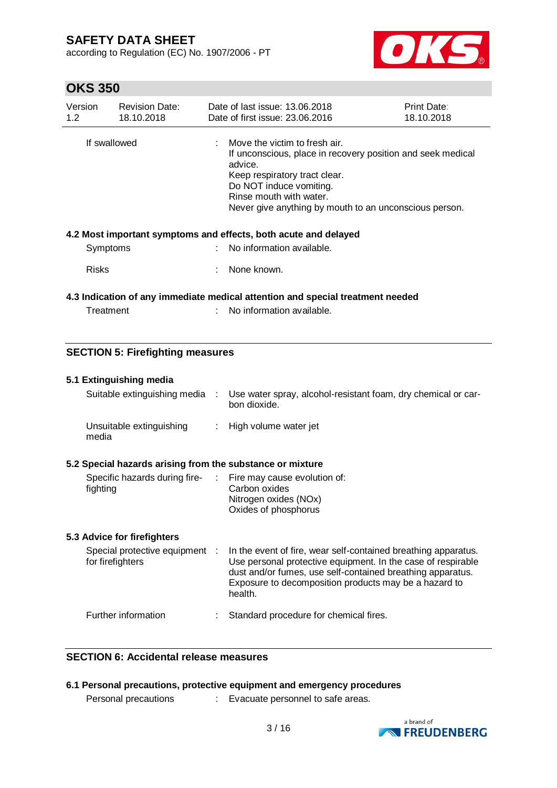according to Regulation (EC) No. 1907/2006 - PT



# **OKS 350**

| Version<br>1.2 <sub>2</sub> | <b>Revision Date:</b><br>18.10.2018                                            |    | Date of last issue: 13.06.2018<br>Date of first issue: 23.06.2016                                                                                                                                                                                        | Print Date:<br>18.10.2018 |  |  |
|-----------------------------|--------------------------------------------------------------------------------|----|----------------------------------------------------------------------------------------------------------------------------------------------------------------------------------------------------------------------------------------------------------|---------------------------|--|--|
| If swallowed                |                                                                                |    | Move the victim to fresh air.<br>If unconscious, place in recovery position and seek medical<br>advice.<br>Keep respiratory tract clear.<br>Do NOT induce vomiting.<br>Rinse mouth with water.<br>Never give anything by mouth to an unconscious person. |                           |  |  |
|                             |                                                                                |    | 4.2 Most important symptoms and effects, both acute and delayed                                                                                                                                                                                          |                           |  |  |
|                             | Symptoms                                                                       | t. | No information available.                                                                                                                                                                                                                                |                           |  |  |
| <b>Risks</b>                |                                                                                |    | None known.                                                                                                                                                                                                                                              |                           |  |  |
|                             | 4.3 Indication of any immediate medical attention and special treatment needed |    |                                                                                                                                                                                                                                                          |                           |  |  |
|                             | Treatment                                                                      |    | No information available.                                                                                                                                                                                                                                |                           |  |  |
|                             |                                                                                |    |                                                                                                                                                                                                                                                          |                           |  |  |
|                             | <b>SECTION 5: Firefighting measures</b>                                        |    |                                                                                                                                                                                                                                                          |                           |  |  |
|                             | 5.1 Extinguishing media                                                        |    |                                                                                                                                                                                                                                                          |                           |  |  |
|                             | Suitable extinguishing media                                                   | ÷  | Use water spray, alcohol-resistant foam, dry chemical or car-<br>bon dioxide.                                                                                                                                                                            |                           |  |  |

| Unsuitable extinguishing | High volume water jet |
|--------------------------|-----------------------|
| media                    |                       |

### **5.2 Special hazards arising from the substance or mixture**

| Specific hazards during fire- | : Fire may cause evolution of: |
|-------------------------------|--------------------------------|
| fighting                      | Carbon oxides                  |
|                               | Nitrogen oxides (NOx)          |
|                               | Oxides of phosphorus           |
|                               |                                |

## **5.3 Advice for firefighters**

| Special protective equipment :<br>for firefighters | In the event of fire, wear self-contained breathing apparatus.<br>Use personal protective equipment. In the case of respirable<br>dust and/or fumes, use self-contained breathing apparatus.<br>Exposure to decomposition products may be a hazard to<br>health. |
|----------------------------------------------------|------------------------------------------------------------------------------------------------------------------------------------------------------------------------------------------------------------------------------------------------------------------|
| Further information                                | Standard procedure for chemical fires.                                                                                                                                                                                                                           |

# **SECTION 6: Accidental release measures**

## **6.1 Personal precautions, protective equipment and emergency procedures**

Personal precautions : Evacuate personnel to safe areas.

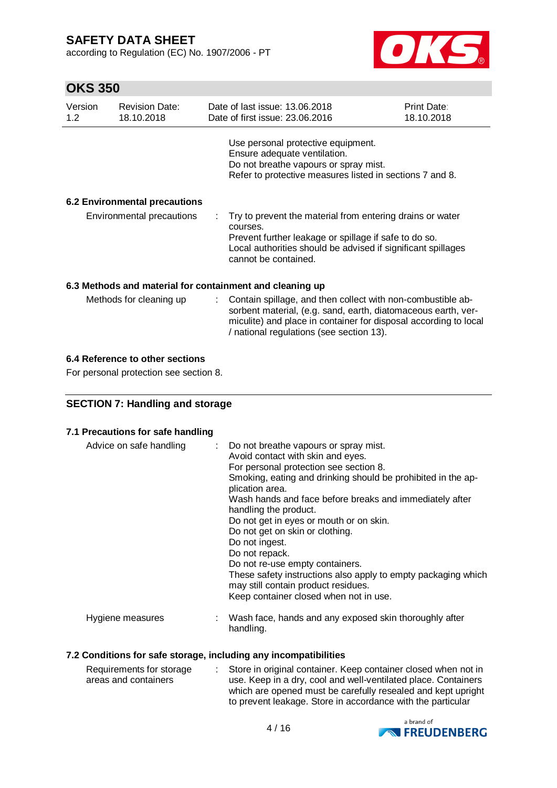according to Regulation (EC) No. 1907/2006 - PT



# **OKS 350**

| Version<br>1.2 <sub>1</sub> | <b>Revision Date:</b><br>18.10.2018 |    | Date of last issue: 13.06.2018<br>Date of first issue: 23.06.2016                                                                                                                                                                            | Print Date:<br>18.10.2018 |  |  |
|-----------------------------|-------------------------------------|----|----------------------------------------------------------------------------------------------------------------------------------------------------------------------------------------------------------------------------------------------|---------------------------|--|--|
|                             |                                     |    | Use personal protective equipment.<br>Ensure adequate ventilation.<br>Do not breathe vapours or spray mist.<br>Refer to protective measures listed in sections 7 and 8.                                                                      |                           |  |  |
|                             | 6.2 Environmental precautions       |    |                                                                                                                                                                                                                                              |                           |  |  |
|                             | Environmental precautions           |    | : Try to prevent the material from entering drains or water<br>courses.<br>Prevent further leakage or spillage if safe to do so.<br>Local authorities should be advised if significant spillages<br>cannot be contained.                     |                           |  |  |
|                             |                                     |    | 6.3 Methods and material for containment and cleaning up                                                                                                                                                                                     |                           |  |  |
|                             | Methods for cleaning up             | ÷. | Contain spillage, and then collect with non-combustible ab-<br>sorbent material, (e.g. sand, earth, diatomaceous earth, ver-<br>miculite) and place in container for disposal according to local<br>/ national regulations (see section 13). |                           |  |  |

## **6.4 Reference to other sections**

For personal protection see section 8.

# **SECTION 7: Handling and storage**

### **7.1 Precautions for safe handling**

| Advice on safe handling | : Do not breathe vapours or spray mist.<br>Avoid contact with skin and eyes.<br>For personal protection see section 8.<br>Smoking, eating and drinking should be prohibited in the ap-<br>plication area.<br>Wash hands and face before breaks and immediately after<br>handling the product.<br>Do not get in eyes or mouth or on skin.<br>Do not get on skin or clothing.<br>Do not ingest.<br>Do not repack.<br>Do not re-use empty containers.<br>These safety instructions also apply to empty packaging which<br>may still contain product residues.<br>Keep container closed when not in use. |
|-------------------------|------------------------------------------------------------------------------------------------------------------------------------------------------------------------------------------------------------------------------------------------------------------------------------------------------------------------------------------------------------------------------------------------------------------------------------------------------------------------------------------------------------------------------------------------------------------------------------------------------|
| Hygiene measures        | : Wash face, hands and any exposed skin thoroughly after<br>handling.                                                                                                                                                                                                                                                                                                                                                                                                                                                                                                                                |

## **7.2 Conditions for safe storage, including any incompatibilities**

| Requirements for storage | : Store in original container. Keep container closed when not in |
|--------------------------|------------------------------------------------------------------|
| areas and containers     | use. Keep in a dry, cool and well-ventilated place. Containers   |
|                          | which are opened must be carefully resealed and kept upright     |
|                          | to prevent leakage. Store in accordance with the particular      |

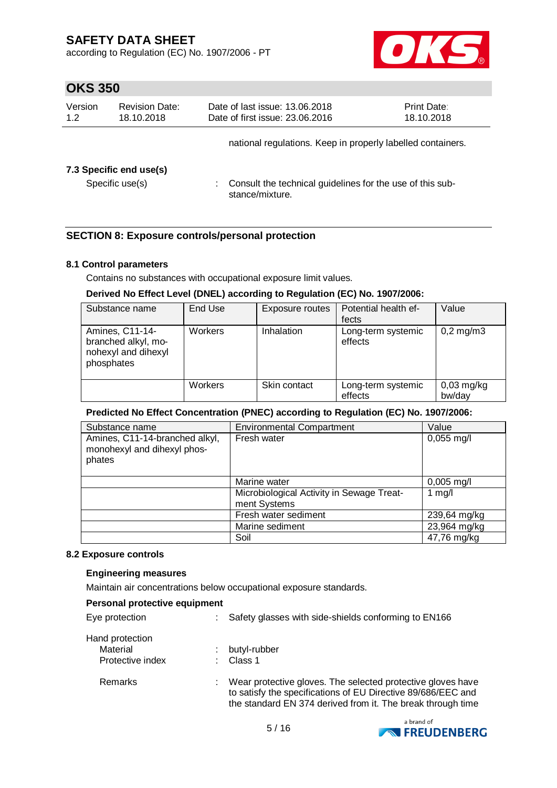according to Regulation (EC) No. 1907/2006 - PT



# **OKS 350**

| Version<br>1.2 | <b>Revision Date:</b><br>18.10.2018 | Date of last issue: 13.06.2018<br>Date of first issue: 23.06.2016            | Print Date:<br>18.10.2018 |
|----------------|-------------------------------------|------------------------------------------------------------------------------|---------------------------|
|                |                                     | national regulations. Keep in properly labelled containers.                  |                           |
|                | 7.3 Specific end use(s)             |                                                                              |                           |
|                | Specific use(s)                     | Consult the technical guidelines for the use of this sub-<br>stance/mixture. |                           |

# **SECTION 8: Exposure controls/personal protection**

## **8.1 Control parameters**

Contains no substances with occupational exposure limit values.

## **Derived No Effect Level (DNEL) according to Regulation (EC) No. 1907/2006:**

| Substance name                                                              | End Use        | Exposure routes | Potential health ef-<br>fects | Value                   |
|-----------------------------------------------------------------------------|----------------|-----------------|-------------------------------|-------------------------|
| Amines, C11-14-<br>branched alkyl, mo-<br>nohexyl and dihexyl<br>phosphates | <b>Workers</b> | Inhalation      | Long-term systemic<br>effects | $0,2 \,\mathrm{mg/m}$ 3 |
|                                                                             | Workers        | Skin contact    | Long-term systemic<br>effects | $0,03$ mg/kg<br>bw/day  |

### **Predicted No Effect Concentration (PNEC) according to Regulation (EC) No. 1907/2006:**

| Substance name                                                          | <b>Environmental Compartment</b>                          | Value                |
|-------------------------------------------------------------------------|-----------------------------------------------------------|----------------------|
| Amines, C11-14-branched alkyl,<br>monohexyl and dihexyl phos-<br>phates | Fresh water                                               | $0,055$ mg/l         |
|                                                                         | Marine water                                              | $0,005 \text{ mg/l}$ |
|                                                                         | Microbiological Activity in Sewage Treat-<br>ment Systems | 1 $mg/l$             |
|                                                                         | Fresh water sediment                                      | 239,64 mg/kg         |
|                                                                         | Marine sediment                                           | 23,964 mg/kg         |
|                                                                         | Soil                                                      | 47,76 mg/kg          |

#### **8.2 Exposure controls**

### **Engineering measures**

Maintain air concentrations below occupational exposure standards.

| Personal protective equipment |    |                                                                                                                                                                                            |
|-------------------------------|----|--------------------------------------------------------------------------------------------------------------------------------------------------------------------------------------------|
| Eye protection                |    | Safety glasses with side-shields conforming to EN166                                                                                                                                       |
| Hand protection               |    |                                                                                                                                                                                            |
| Material                      |    | butyl-rubber                                                                                                                                                                               |
| Protective index              |    | Class 1                                                                                                                                                                                    |
| Remarks                       | t. | Wear protective gloves. The selected protective gloves have<br>to satisfy the specifications of EU Directive 89/686/EEC and<br>the standard EN 374 derived from it. The break through time |

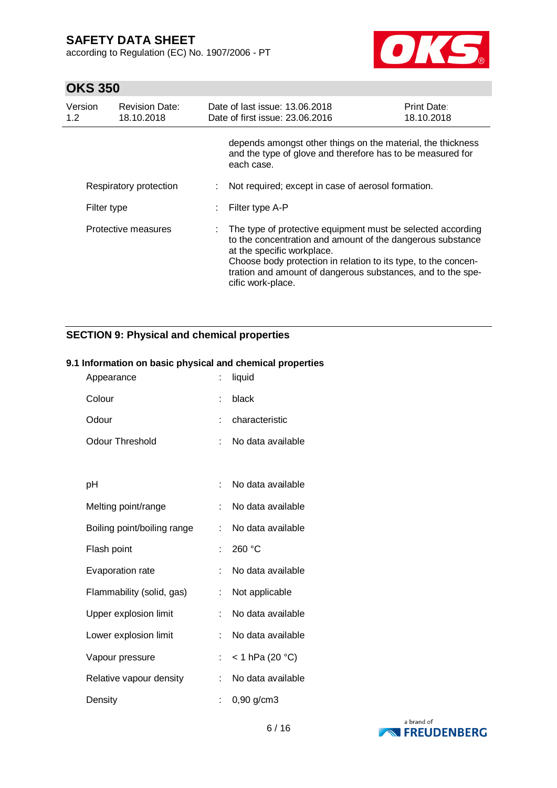according to Regulation (EC) No. 1907/2006 - PT



# **OKS 350**

| Version<br>1.2 <sub>2</sub> | <b>Revision Date:</b><br>18.10.2018 | Date of last issue: 13.06.2018<br>Date of first issue: 23.06.2016                                                                                                                                                                                                                                             | Print Date:<br>18.10.2018 |
|-----------------------------|-------------------------------------|---------------------------------------------------------------------------------------------------------------------------------------------------------------------------------------------------------------------------------------------------------------------------------------------------------------|---------------------------|
|                             |                                     | depends amongst other things on the material, the thickness<br>and the type of glove and therefore has to be measured for<br>each case.                                                                                                                                                                       |                           |
|                             | Respiratory protection              | Not required; except in case of aerosol formation.                                                                                                                                                                                                                                                            |                           |
| Filter type                 |                                     | Filter type A-P                                                                                                                                                                                                                                                                                               |                           |
|                             | Protective measures                 | The type of protective equipment must be selected according<br>to the concentration and amount of the dangerous substance<br>at the specific workplace.<br>Choose body protection in relation to its type, to the concen-<br>tration and amount of dangerous substances, and to the spe-<br>cific work-place. |                           |

# **SECTION 9: Physical and chemical properties**

### **9.1 Information on basic physical and chemical properties**

| Appearance                  | t  | liquid            |
|-----------------------------|----|-------------------|
| Colour                      | t  | black             |
| Odour                       | ۰  | characteristic    |
| <b>Odour Threshold</b>      | t. | No data available |
|                             |    |                   |
| рH                          |    | No data available |
| Melting point/range         | t  | No data available |
| Boiling point/boiling range | t  | No data available |
| Flash point                 | t  | 260 °C            |
| Evaporation rate            | t. | No data available |
| Flammability (solid, gas)   | t  | Not applicable    |
| Upper explosion limit       | t. | No data available |
| Lower explosion limit       | t. | No data available |
| Vapour pressure             | t. | < 1 hPa (20 °C)   |
| Relative vapour density     | t  | No data available |
| Density                     |    | 0,90 g/cm3        |

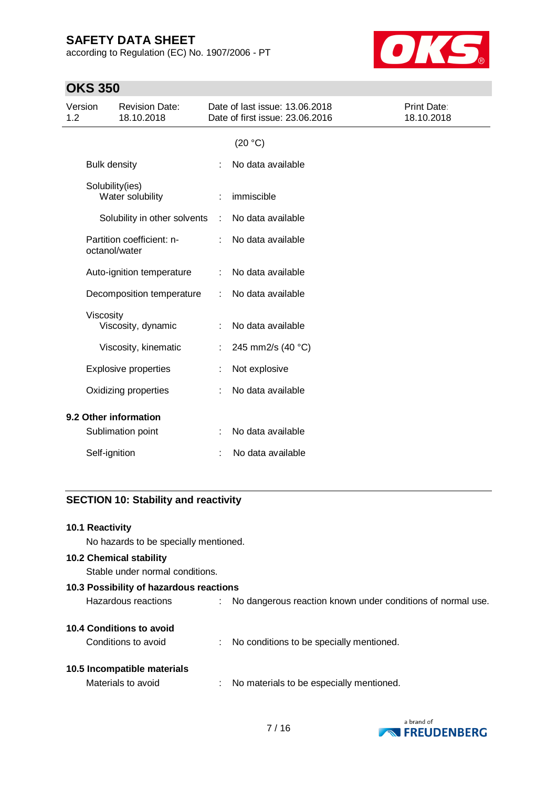according to Regulation (EC) No. 1907/2006 - PT



# **OKS 350**

| Version<br>1.2                      |                     | <b>Revision Date:</b><br>18.10.2018 | Date of last issue: 13.06.2018<br>Date of first issue: 23.06.2016 |                   | Print Date:<br>18.10.2018 |
|-------------------------------------|---------------------|-------------------------------------|-------------------------------------------------------------------|-------------------|---------------------------|
|                                     |                     |                                     |                                                                   | (20 °C)           |                           |
|                                     | <b>Bulk density</b> |                                     |                                                                   | No data available |                           |
| Solubility(ies)<br>Water solubility |                     |                                     | immiscible                                                        |                   |                           |
|                                     |                     | Solubility in other solvents        | $\ddot{\phantom{a}}$                                              | No data available |                           |
|                                     | octanol/water       | Partition coefficient: n-           | ÷.                                                                | No data available |                           |
|                                     |                     | Auto-ignition temperature           | ÷                                                                 | No data available |                           |
|                                     |                     | Decomposition temperature           | ÷                                                                 | No data available |                           |
|                                     | Viscosity           | Viscosity, dynamic                  |                                                                   | No data available |                           |
|                                     |                     | Viscosity, kinematic                | ÷                                                                 | 245 mm2/s (40 °C) |                           |
|                                     |                     | <b>Explosive properties</b>         | t                                                                 | Not explosive     |                           |
|                                     |                     | Oxidizing properties                |                                                                   | No data available |                           |
| 9.2 Other information               |                     |                                     |                                                                   |                   |                           |
|                                     |                     | Sublimation point                   |                                                                   | No data available |                           |
|                                     | Self-ignition       |                                     |                                                                   | No data available |                           |
|                                     |                     |                                     |                                                                   |                   |                           |

# **SECTION 10: Stability and reactivity**

### **10.1 Reactivity**

No hazards to be specially mentioned.

# **10.2 Chemical stability**

Stable under normal conditions.

| 10.3 Possibility of hazardous reactions |   |                                                             |  |  |
|-----------------------------------------|---|-------------------------------------------------------------|--|--|
| Hazardous reactions                     |   | No dangerous reaction known under conditions of normal use. |  |  |
| 10.4 Conditions to avoid                |   |                                                             |  |  |
| Conditions to avoid                     | ÷ | No conditions to be specially mentioned.                    |  |  |
| 10.5 Incompatible materials             |   |                                                             |  |  |
| Materials to avoid                      | ÷ | No materials to be especially mentioned.                    |  |  |
|                                         |   |                                                             |  |  |

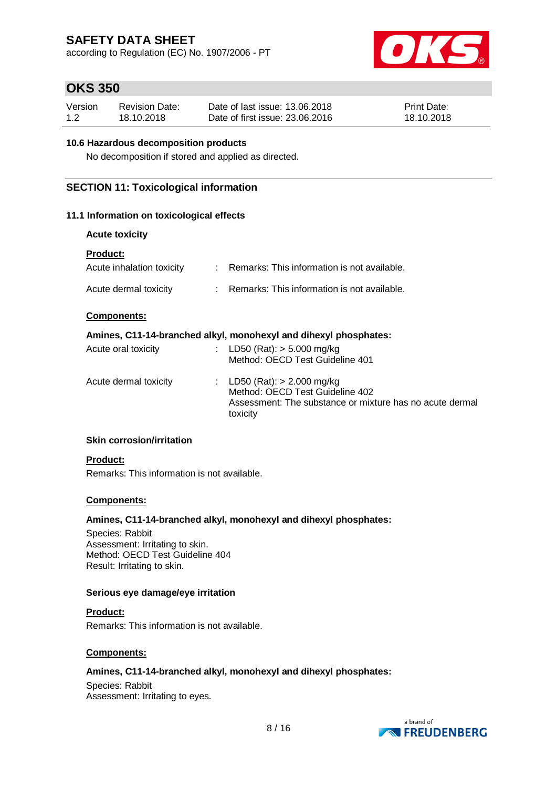according to Regulation (EC) No. 1907/2006 - PT



# **OKS 350**

| Version | <b>Revision Date:</b> | Date of last issue: 13.06.2018  | <b>Print Date:</b> |
|---------|-----------------------|---------------------------------|--------------------|
| 1.2     | 18.10.2018            | Date of first issue: 23,06,2016 | 18.10.2018         |

## **10.6 Hazardous decomposition products**

No decomposition if stored and applied as directed.

# **SECTION 11: Toxicological information**

## **11.1 Information on toxicological effects**

| <b>Acute toxicity</b>                        |                                                                                                                                          |
|----------------------------------------------|------------------------------------------------------------------------------------------------------------------------------------------|
| <b>Product:</b><br>Acute inhalation toxicity | : Remarks: This information is not available.                                                                                            |
| Acute dermal toxicity                        | : Remarks: This information is not available.                                                                                            |
| <b>Components:</b>                           |                                                                                                                                          |
|                                              | Amines, C11-14-branched alkyl, monohexyl and dihexyl phosphates:                                                                         |
| Acute oral toxicity                          | : LD50 (Rat): $>$ 5.000 mg/kg<br>Method: OECD Test Guideline 401                                                                         |
| Acute dermal toxicity                        | : LD50 (Rat): $> 2.000$ mg/kg<br>Method: OECD Test Guideline 402<br>Assessment: The substance or mixture has no acute dermal<br>toxicity |

### **Skin corrosion/irritation**

### **Product:**

Remarks: This information is not available.

### **Components:**

### **Amines, C11-14-branched alkyl, monohexyl and dihexyl phosphates:**

Species: Rabbit Assessment: Irritating to skin. Method: OECD Test Guideline 404 Result: Irritating to skin.

#### **Serious eye damage/eye irritation**

**Product:** Remarks: This information is not available.

### **Components:**

# **Amines, C11-14-branched alkyl, monohexyl and dihexyl phosphates:**

Species: Rabbit Assessment: Irritating to eyes.

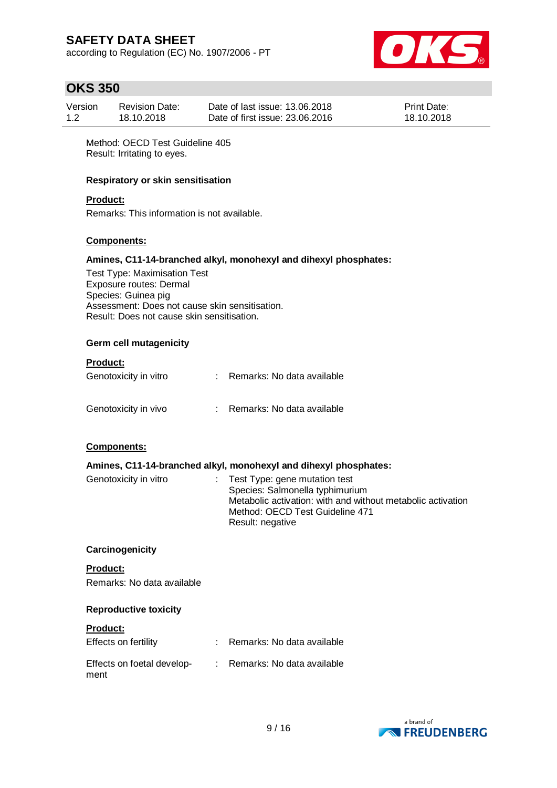according to Regulation (EC) No. 1907/2006 - PT



# **OKS 350**

| Version | <b>Revision Date:</b> | Date of last issue: 13.06.2018  | <b>Print Date:</b> |
|---------|-----------------------|---------------------------------|--------------------|
| 1.2     | 18.10.2018            | Date of first issue: 23,06,2016 | 18.10.2018         |

Method: OECD Test Guideline 405 Result: Irritating to eyes.

### **Respiratory or skin sensitisation**

### **Product:**

Remarks: This information is not available.

## **Components:**

#### **Amines, C11-14-branched alkyl, monohexyl and dihexyl phosphates:**

Test Type: Maximisation Test Exposure routes: Dermal Species: Guinea pig Assessment: Does not cause skin sensitisation. Result: Does not cause skin sensitisation.

#### **Germ cell mutagenicity**

## **Product:**

| Genotoxicity in vitro | Remarks: No data available   |
|-----------------------|------------------------------|
| Genotoxicity in vivo  | : Remarks: No data available |

### **Components:**

### **Amines, C11-14-branched alkyl, monohexyl and dihexyl phosphates:**

| Genotoxicity in vitro | $\therefore$ Test Type: gene mutation test                  |
|-----------------------|-------------------------------------------------------------|
|                       | Species: Salmonella typhimurium                             |
|                       | Metabolic activation: with and without metabolic activation |
|                       | Method: OECD Test Guideline 471                             |
|                       | Result: negative                                            |

#### **Carcinogenicity**

**Product:** Remarks: No data available

#### **Reproductive toxicity**

# **Product:**

| Effects on fertility               | : Remarks: No data available |
|------------------------------------|------------------------------|
| Effects on foetal develop-<br>ment | Remarks: No data available   |

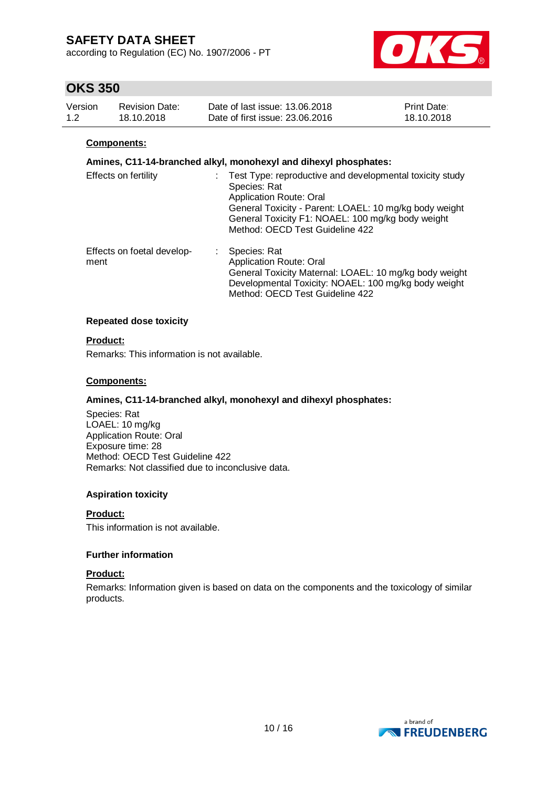according to Regulation (EC) No. 1907/2006 - PT



# **OKS 350**

| Version | <b>Revision Date:</b> | Date of last issue: 13.06.2018  | <b>Print Date:</b> |
|---------|-----------------------|---------------------------------|--------------------|
| 1.2     | 18.10.2018            | Date of first issue: 23.06.2016 | 18.10.2018         |

### **Components:**

## **Amines, C11-14-branched alkyl, monohexyl and dihexyl phosphates:**

| Effects on fertility               | Test Type: reproductive and developmental toxicity study<br>Species: Rat<br><b>Application Route: Oral</b><br>General Toxicity - Parent: LOAEL: 10 mg/kg body weight<br>General Toxicity F1: NOAEL: 100 mg/kg body weight<br>Method: OECD Test Guideline 422 |
|------------------------------------|--------------------------------------------------------------------------------------------------------------------------------------------------------------------------------------------------------------------------------------------------------------|
| Effects on foetal develop-<br>ment | Species: Rat<br><b>Application Route: Oral</b><br>General Toxicity Maternal: LOAEL: 10 mg/kg body weight<br>Developmental Toxicity: NOAEL: 100 mg/kg body weight<br>Method: OECD Test Guideline 422                                                          |

### **Repeated dose toxicity**

### **Product:**

Remarks: This information is not available.

### **Components:**

### **Amines, C11-14-branched alkyl, monohexyl and dihexyl phosphates:**

Species: Rat LOAEL: 10 mg/kg Application Route: Oral Exposure time: 28 Method: OECD Test Guideline 422 Remarks: Not classified due to inconclusive data.

### **Aspiration toxicity**

#### **Product:**

This information is not available.

### **Further information**

#### **Product:**

Remarks: Information given is based on data on the components and the toxicology of similar products.

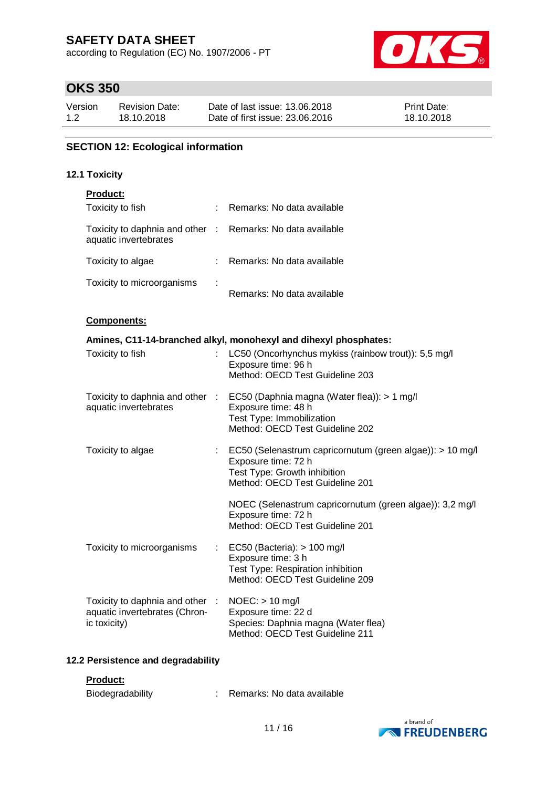according to Regulation (EC) No. 1907/2006 - PT



# **OKS 350**

| Version | <b>Revision Date:</b> | Date of last issue: 13.06.2018  | <b>Print Date:</b> |
|---------|-----------------------|---------------------------------|--------------------|
| 1.2     | 18.10.2018            | Date of first issue: 23,06,2016 | 18.10.2018         |

# **SECTION 12: Ecological information**

### **12.1 Toxicity**

| Product:                                                 |    |                                                                                                                                                     |
|----------------------------------------------------------|----|-----------------------------------------------------------------------------------------------------------------------------------------------------|
| Toxicity to fish                                         |    | Remarks: No data available                                                                                                                          |
| Toxicity to daphnia and other :<br>aquatic invertebrates |    | Remarks: No data available                                                                                                                          |
| Toxicity to algae                                        |    | Remarks: No data available                                                                                                                          |
| Toxicity to microorganisms                               |    | Remarks: No data available                                                                                                                          |
| Components:                                              |    |                                                                                                                                                     |
|                                                          |    | Amines, C11-14-branched alkyl, monohexyl and dihexyl phosphates:                                                                                    |
| Toxicity to fish                                         | ÷. | LC50 (Oncorhynchus mykiss (rainbow trout)): 5,5 mg/l<br>Exposure time: 96 h<br>Method: OECD Test Guideline 203                                      |
| Toxicity to daphnia and other :<br>aquatic invertebrates |    | EC50 (Daphnia magna (Water flea)): > 1 mg/l<br>Exposure time: 48 h<br>Test Type: Immobilization<br>Method: OECD Test Guideline 202                  |
| Toxicity to algae                                        |    | EC50 (Selenastrum capricornutum (green algae)): > 10 mg/l<br>Exposure time: 72 h<br>Test Type: Growth inhibition<br>Method: OECD Test Guideline 201 |
|                                                          |    | NOEC (Selenastrum capricornutum (green algae)): 3,2 mg/l<br>Exposure time: 72 h<br>Method: OECD Test Guideline 201                                  |
| Toxicity to microorganisms                               |    | EC50 (Bacteria): $> 100$ mg/l<br>Exposure time: 3 h<br>Test Type: Respiration inhibition<br>Method: OECD Test Guideline 209                         |

| Toxicity to daphnia and other : | $NOEC:$ > 10 mg/l                                                      |
|---------------------------------|------------------------------------------------------------------------|
| aquatic invertebrates (Chron-   | Exposure time: 22 d                                                    |
| ic toxicity)                    | Species: Daphnia magna (Water flea)<br>Method: OECD Test Guideline 211 |

# **12.2 Persistence and degradability**

### **Product:**

| Biodegradability |  | Remarks: No data available |  |
|------------------|--|----------------------------|--|
|------------------|--|----------------------------|--|

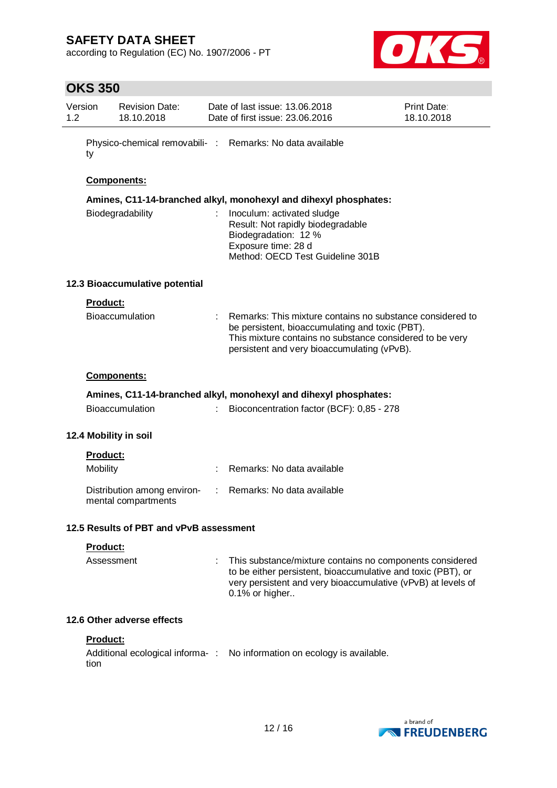according to Regulation (EC) No. 1907/2006 - PT



| <b>OKS 350</b>  |                                     |                                                                                                                                                            |                                                           |
|-----------------|-------------------------------------|------------------------------------------------------------------------------------------------------------------------------------------------------------|-----------------------------------------------------------|
| Version<br>1.2  | <b>Revision Date:</b><br>18.10.2018 | Date of last issue: 13.06.2018<br>Date of first issue: 23.06.2016                                                                                          | Print Date:<br>18.10.2018                                 |
| ty              |                                     | Physico-chemical removabili- : Remarks: No data available                                                                                                  |                                                           |
|                 | <b>Components:</b>                  |                                                                                                                                                            |                                                           |
|                 |                                     | Amines, C11-14-branched alkyl, monohexyl and dihexyl phosphates:                                                                                           |                                                           |
|                 | Biodegradability                    | Inoculum: activated sludge<br>Result: Not rapidly biodegradable<br>Biodegradation: 12 %<br>Exposure time: 28 d<br>Method: OECD Test Guideline 301B         |                                                           |
|                 | 12.3 Bioaccumulative potential      |                                                                                                                                                            |                                                           |
| <b>Product:</b> |                                     |                                                                                                                                                            |                                                           |
|                 | <b>Bioaccumulation</b>              | be persistent, bioaccumulating and toxic (PBT).<br>This mixture contains no substance considered to be very<br>persistent and very bioaccumulating (vPvB). | Remarks: This mixture contains no substance considered to |
|                 | <b>Components:</b>                  |                                                                                                                                                            |                                                           |
|                 |                                     | Amines, C11-14-branched alkyl, monohexyl and dihexyl phosphates:                                                                                           |                                                           |
|                 | <b>Bioaccumulation</b>              | Bioconcentration factor (BCF): 0,85 - 278                                                                                                                  |                                                           |

## **12.4 Mobility in soil**

| Product:                                           |                              |
|----------------------------------------------------|------------------------------|
| Mobility                                           | : Remarks: No data available |
| Distribution among environ-<br>mental compartments | : Remarks: No data available |

## **12.5 Results of PBT and vPvB assessment**

## **Product:**

| $0.1\%$ or higher | Assessment | : This substance/mixture contains no components considered<br>to be either persistent, bioaccumulative and toxic (PBT), or<br>very persistent and very bioaccumulative (vPvB) at levels of |
|-------------------|------------|--------------------------------------------------------------------------------------------------------------------------------------------------------------------------------------------|
|-------------------|------------|--------------------------------------------------------------------------------------------------------------------------------------------------------------------------------------------|

## **12.6 Other adverse effects**

# **Product:**

```
Additional ecological informa-
: No information on ecology is available.tion
```
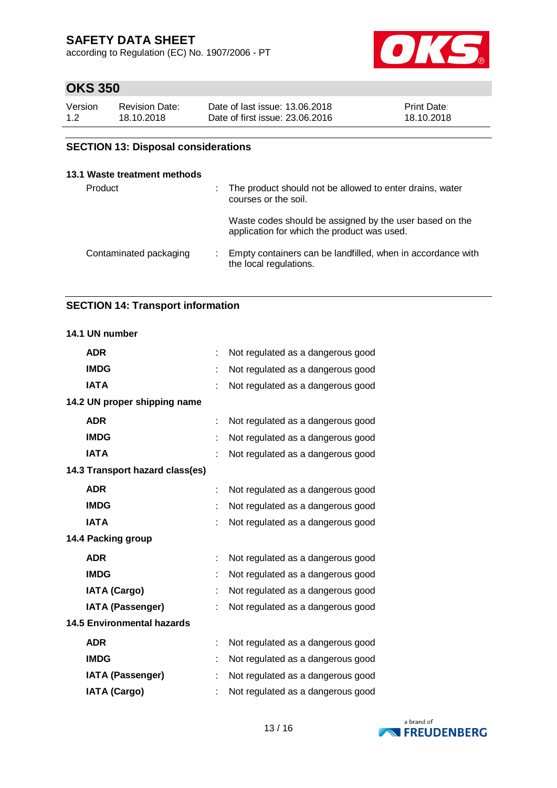according to Regulation (EC) No. 1907/2006 - PT



# **OKS 350**

| Version | <b>Revision Date:</b> | Date of last issue: 13.06.2018  | <b>Print Date:</b> |
|---------|-----------------------|---------------------------------|--------------------|
| 1.2     | 18.10.2018            | Date of first issue: 23.06.2016 | 18.10.2018         |

# **SECTION 13: Disposal considerations**

# **13.1 Waste treatment methods**

| Product                | ÷. | The product should not be allowed to enter drains, water<br>courses or the soil.                       |
|------------------------|----|--------------------------------------------------------------------------------------------------------|
|                        |    | Waste codes should be assigned by the user based on the<br>application for which the product was used. |
| Contaminated packaging |    | Empty containers can be landfilled, when in accordance with<br>the local regulations.                  |

## **SECTION 14: Transport information**

## **14.1 UN number**

| <b>ADR</b>                        |    | Not regulated as a dangerous good |
|-----------------------------------|----|-----------------------------------|
| <b>IMDG</b>                       |    | Not regulated as a dangerous good |
| <b>IATA</b>                       |    | Not regulated as a dangerous good |
| 14.2 UN proper shipping name      |    |                                   |
| <b>ADR</b>                        |    | Not regulated as a dangerous good |
| <b>IMDG</b>                       | t  | Not regulated as a dangerous good |
| <b>IATA</b>                       |    | Not regulated as a dangerous good |
| 14.3 Transport hazard class(es)   |    |                                   |
| <b>ADR</b>                        |    | Not regulated as a dangerous good |
| <b>IMDG</b>                       |    | Not regulated as a dangerous good |
| <b>IATA</b>                       |    | Not regulated as a dangerous good |
| 14.4 Packing group                |    |                                   |
| <b>ADR</b>                        | t  | Not regulated as a dangerous good |
| <b>IMDG</b>                       |    | Not regulated as a dangerous good |
| <b>IATA (Cargo)</b>               |    | Not regulated as a dangerous good |
| <b>IATA (Passenger)</b>           |    | Not regulated as a dangerous good |
| <b>14.5 Environmental hazards</b> |    |                                   |
| <b>ADR</b>                        | t. | Not regulated as a dangerous good |
| <b>IMDG</b>                       |    | Not regulated as a dangerous good |
| <b>IATA (Passenger)</b>           |    | Not regulated as a dangerous good |
| <b>IATA (Cargo)</b>               |    | Not regulated as a dangerous good |

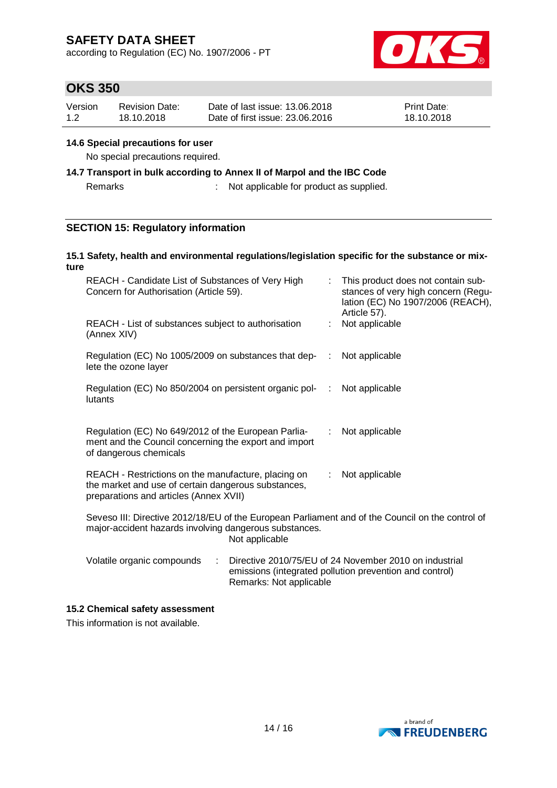according to Regulation (EC) No. 1907/2006 - PT



# **OKS 350**

| Version | <b>Revision Date:</b> | Date of last issue: 13.06.2018  | <b>Print Date:</b> |
|---------|-----------------------|---------------------------------|--------------------|
| 1.2     | 18.10.2018            | Date of first issue: 23,06,2016 | 18.10.2018         |

#### **14.6 Special precautions for user**

No special precautions required.

# **14.7 Transport in bulk according to Annex II of Marpol and the IBC Code**

Remarks : Not applicable for product as supplied.

# **SECTION 15: Regulatory information**

#### **15.1 Safety, health and environmental regulations/legislation specific for the substance or mixture**

| REACH - Candidate List of Substances of Very High<br>Concern for Authorisation (Article 59).                                                                                 |  |    | This product does not contain sub-<br>stances of very high concern (Regu-<br>lation (EC) No 1907/2006 (REACH),<br>Article 57). |  |
|------------------------------------------------------------------------------------------------------------------------------------------------------------------------------|--|----|--------------------------------------------------------------------------------------------------------------------------------|--|
| REACH - List of substances subject to authorisation<br>(Annex XIV)                                                                                                           |  |    | Not applicable                                                                                                                 |  |
| Regulation (EC) No 1005/2009 on substances that dep-<br>lete the ozone layer                                                                                                 |  | ÷  | Not applicable                                                                                                                 |  |
| Regulation (EC) No 850/2004 on persistent organic pol-<br>lutants                                                                                                            |  | ÷. | Not applicable                                                                                                                 |  |
| Regulation (EC) No 649/2012 of the European Parlia-<br>Not applicable<br>t.<br>ment and the Council concerning the export and import<br>of dangerous chemicals               |  |    |                                                                                                                                |  |
| REACH - Restrictions on the manufacture, placing on<br>Not applicable<br>t.<br>the market and use of certain dangerous substances,<br>preparations and articles (Annex XVII) |  |    |                                                                                                                                |  |
| Seveso III: Directive 2012/18/EU of the European Parliament and of the Council on the control of<br>major-accident hazards involving dangerous substances.<br>Not applicable |  |    |                                                                                                                                |  |
| Volatile organic compounds<br>Directive 2010/75/EU of 24 November 2010 on industrial<br>÷<br>emissions (integrated pollution prevention and control)                         |  |    |                                                                                                                                |  |

### **15.2 Chemical safety assessment**

This information is not available.



Remarks: Not applicable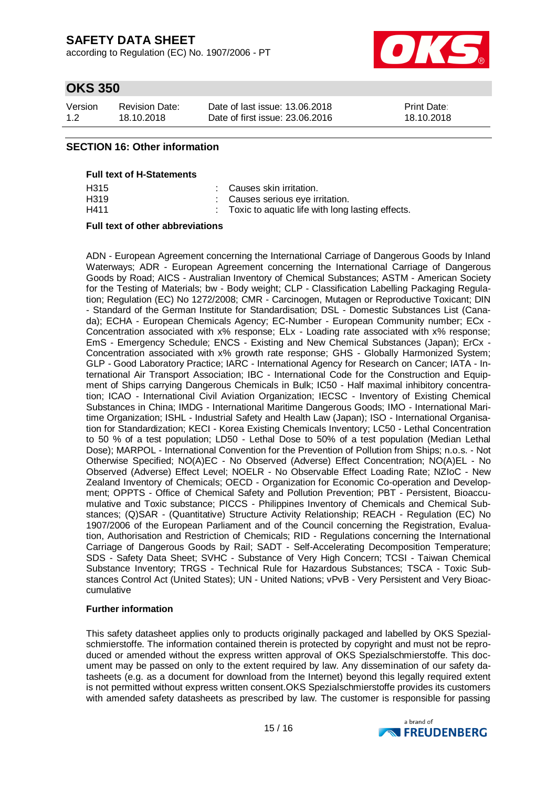according to Regulation (EC) No. 1907/2006 - PT



# **OKS 350**

| Version | <b>Revision Date:</b> | Date of last issue: 13.06.2018  | <b>Print Date:</b> |
|---------|-----------------------|---------------------------------|--------------------|
| 1.2     | 18.10.2018            | Date of first issue: 23,06,2016 | 18.10.2018         |

## **SECTION 16: Other information**

#### **Full text of H-Statements**

| H315 | : Causes skin irritation.                        |
|------|--------------------------------------------------|
| H319 | Causes serious eye irritation.                   |
| H411 | Toxic to aquatic life with long lasting effects. |

#### **Full text of other abbreviations**

ADN - European Agreement concerning the International Carriage of Dangerous Goods by Inland Waterways; ADR - European Agreement concerning the International Carriage of Dangerous Goods by Road; AICS - Australian Inventory of Chemical Substances; ASTM - American Society for the Testing of Materials; bw - Body weight; CLP - Classification Labelling Packaging Regulation; Regulation (EC) No 1272/2008; CMR - Carcinogen, Mutagen or Reproductive Toxicant; DIN - Standard of the German Institute for Standardisation; DSL - Domestic Substances List (Canada); ECHA - European Chemicals Agency; EC-Number - European Community number; ECx - Concentration associated with x% response; ELx - Loading rate associated with x% response; EmS - Emergency Schedule; ENCS - Existing and New Chemical Substances (Japan); ErCx - Concentration associated with x% growth rate response; GHS - Globally Harmonized System; GLP - Good Laboratory Practice; IARC - International Agency for Research on Cancer; IATA - International Air Transport Association; IBC - International Code for the Construction and Equipment of Ships carrying Dangerous Chemicals in Bulk; IC50 - Half maximal inhibitory concentration; ICAO - International Civil Aviation Organization; IECSC - Inventory of Existing Chemical Substances in China; IMDG - International Maritime Dangerous Goods; IMO - International Maritime Organization; ISHL - Industrial Safety and Health Law (Japan); ISO - International Organisation for Standardization; KECI - Korea Existing Chemicals Inventory; LC50 - Lethal Concentration to 50 % of a test population; LD50 - Lethal Dose to 50% of a test population (Median Lethal Dose); MARPOL - International Convention for the Prevention of Pollution from Ships; n.o.s. - Not Otherwise Specified; NO(A)EC - No Observed (Adverse) Effect Concentration; NO(A)EL - No Observed (Adverse) Effect Level; NOELR - No Observable Effect Loading Rate; NZIoC - New Zealand Inventory of Chemicals; OECD - Organization for Economic Co-operation and Development; OPPTS - Office of Chemical Safety and Pollution Prevention; PBT - Persistent, Bioaccumulative and Toxic substance; PICCS - Philippines Inventory of Chemicals and Chemical Substances; (Q)SAR - (Quantitative) Structure Activity Relationship; REACH - Regulation (EC) No 1907/2006 of the European Parliament and of the Council concerning the Registration, Evaluation, Authorisation and Restriction of Chemicals; RID - Regulations concerning the International Carriage of Dangerous Goods by Rail; SADT - Self-Accelerating Decomposition Temperature; SDS - Safety Data Sheet; SVHC - Substance of Very High Concern; TCSI - Taiwan Chemical Substance Inventory; TRGS - Technical Rule for Hazardous Substances; TSCA - Toxic Substances Control Act (United States); UN - United Nations; vPvB - Very Persistent and Very Bioaccumulative

#### **Further information**

This safety datasheet applies only to products originally packaged and labelled by OKS Spezialschmierstoffe. The information contained therein is protected by copyright and must not be reproduced or amended without the express written approval of OKS Spezialschmierstoffe. This document may be passed on only to the extent required by law. Any dissemination of our safety datasheets (e.g. as a document for download from the Internet) beyond this legally required extent is not permitted without express written consent.OKS Spezialschmierstoffe provides its customers with amended safety datasheets as prescribed by law. The customer is responsible for passing